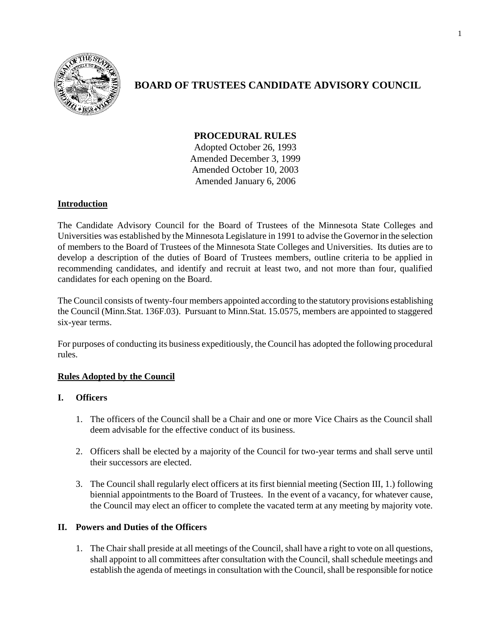

# **BOARD OF TRUSTEES CANDIDATE ADVISORY COUNCIL**

## **PROCEDURAL RULES**

Adopted October 26, 1993 Amended December 3, 1999 Amended October 10, 2003 Amended January 6, 2006

## **Introduction**

The Candidate Advisory Council for the Board of Trustees of the Minnesota State Colleges and Universities was established by the Minnesota Legislature in 1991 to advise the Governor in the selection of members to the Board of Trustees of the Minnesota State Colleges and Universities. Its duties are to develop a description of the duties of Board of Trustees members, outline criteria to be applied in recommending candidates, and identify and recruit at least two, and not more than four, qualified candidates for each opening on the Board.

The Council consists of twenty-four members appointed according to the statutory provisions establishing the Council (Minn.Stat. 136F.03). Pursuant to Minn.Stat. 15.0575, members are appointed to staggered six-year terms.

For purposes of conducting its business expeditiously, the Council has adopted the following procedural rules.

## **Rules Adopted by the Council**

## **I. Officers**

- 1. The officers of the Council shall be a Chair and one or more Vice Chairs as the Council shall deem advisable for the effective conduct of its business.
- 2. Officers shall be elected by a majority of the Council for two-year terms and shall serve until their successors are elected.
- 3. The Council shall regularly elect officers at its first biennial meeting (Section III, 1.) following biennial appointments to the Board of Trustees. In the event of a vacancy, for whatever cause, the Council may elect an officer to complete the vacated term at any meeting by majority vote.

## **II. Powers and Duties of the Officers**

1. The Chair shall preside at all meetings of the Council, shall have a right to vote on all questions, shall appoint to all committees after consultation with the Council, shall schedule meetings and establish the agenda of meetings in consultation with the Council, shall be responsible for notice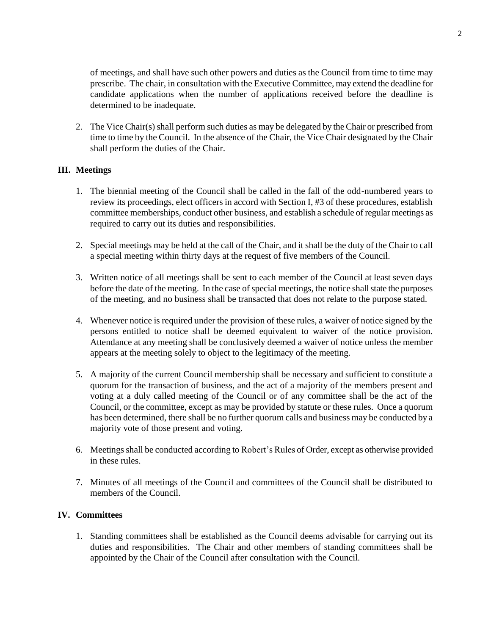of meetings, and shall have such other powers and duties as the Council from time to time may prescribe. The chair, in consultation with the Executive Committee, may extend the deadline for candidate applications when the number of applications received before the deadline is determined to be inadequate.

2. The Vice Chair(s) shall perform such duties as may be delegated by the Chair or prescribed from time to time by the Council. In the absence of the Chair, the Vice Chair designated by the Chair shall perform the duties of the Chair.

#### **III. Meetings**

- 1. The biennial meeting of the Council shall be called in the fall of the odd-numbered years to review its proceedings, elect officers in accord with Section I, #3 of these procedures, establish committee memberships, conduct other business, and establish a schedule of regular meetings as required to carry out its duties and responsibilities.
- 2. Special meetings may be held at the call of the Chair, and it shall be the duty of the Chair to call a special meeting within thirty days at the request of five members of the Council.
- 3. Written notice of all meetings shall be sent to each member of the Council at least seven days before the date of the meeting. In the case of special meetings, the notice shall state the purposes of the meeting, and no business shall be transacted that does not relate to the purpose stated.
- 4. Whenever notice is required under the provision of these rules, a waiver of notice signed by the persons entitled to notice shall be deemed equivalent to waiver of the notice provision. Attendance at any meeting shall be conclusively deemed a waiver of notice unless the member appears at the meeting solely to object to the legitimacy of the meeting.
- 5. A majority of the current Council membership shall be necessary and sufficient to constitute a quorum for the transaction of business, and the act of a majority of the members present and voting at a duly called meeting of the Council or of any committee shall be the act of the Council, or the committee, except as may be provided by statute or these rules. Once a quorum has been determined, there shall be no further quorum calls and business may be conducted by a majority vote of those present and voting.
- 6. Meetings shall be conducted according to Robert's Rules of Order, except as otherwise provided in these rules.
- 7. Minutes of all meetings of the Council and committees of the Council shall be distributed to members of the Council.

#### **IV. Committees**

1. Standing committees shall be established as the Council deems advisable for carrying out its duties and responsibilities. The Chair and other members of standing committees shall be appointed by the Chair of the Council after consultation with the Council.